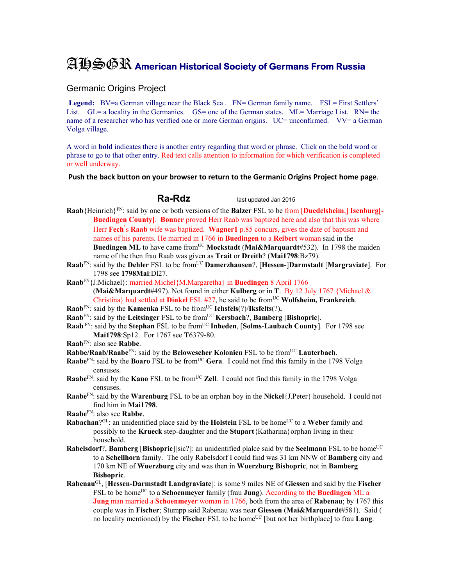## AHSGR **American Historical Society of Germans From Russia**

## Germanic Origins Project

**Legend:** BV=a German village near the Black Sea . FN= German family name. FSL= First Settlers' List. GL= a locality in the Germanies. GS= one of the German states. ML= Marriage List. RN= the name of a researcher who has verified one or more German origins. UC= unconfirmed. VV= a German Volga village.

A word in **bold** indicates there is another entry regarding that word or phrase. Click on the bold word or phrase to go to that other entry. Red text calls attention to information for which verification is completed or well underway.

## **Push the back button on your browser to return to the Germanic Origins Project home page**.

**Ra-Rdz** last updated Jan 2015

- **Raab**{Heinrich}FN: said by one or both versions of the **Balzer** FSL to be from [**Duedelsheim**,] **Isenburg**[**- Buedingen County]**. **Bonner** proved Herr Raab was baptized here and also that this was where Herr **Fech**'s **Raab** wife was baptized. **Wagner1** p.85 concurs, gives the date of baptism and names of his parents. He married in 1766 in **Buedingen** to a **Reibert** woman said in the **Buedingen ML** to have came fromUC **Mockstadt** (**Mai&Marquardt**#532). In 1798 the maiden name of the then frau Raab was given as **Trait** or **Dreith**? (**Mai1798**:Bz79).
- **Raab**FN: said by the **Dehler** FSL to be fromUC **Damerzhausen**?, [**Hessen**-]**Darmstadt** [**Margraviate**]. For 1798 see **1798Mai**:Dl27.
- **Raab**FN{J.Michael}: married Michel{M.Margaretha} in **Buedingen** 8 April 1766 (**Mai&Marquardt**#497). Not found in either **Kulberg** or in **T**.By 12 July 1767 {Michael & Christina} had settled at **Dinkel** FSL #27, he said to be from<sup>UC</sup> Wolfsheim, Frankreich.
- **Raab**<sup>FN</sup>: said by the **Kamenka** FSL to be from<sup>UC</sup> **Ichsfels**(?)/**Iksfelts**(?).
- **Raab**<sup>FN</sup>: said by the Leitsinger FSL to be from<sup>UC</sup> **Kersbach**?, **Bamberg** [Bishopric].
- **Raab**<sup>FN</sup>: said by the **Stephan** FSL to be from<sup>UC</sup> **Inheden**, [Solms-Laubach County]. For 1798 see **Mai1798**:Sp12. For 1767 see **T**6379-80.
- **Raab**FN: also see **Rabbe**.

**Rabbe/Raab/Raabe<sup>FN</sup>: said by the Belowescher Kolonien** FSL to be from<sup>UC</sup> Lauterbach.

- **Raabe**<sup>FN</sup>: said by the **Boaro** FSL to be from<sup>UC</sup> Gera. I could not find this family in the 1798 Volga censuses.
- **Raabe**<sup>FN</sup>: said by the **Kano** FSL to be from<sup>UC</sup> **Zell**. I could not find this family in the 1798 Volga censuses.
- **Raabe**FN: said by the **Warenburg** FSL to be an orphan boy in the **Nickel**{J.Peter} household. I could not find him in **Mai1798**.
- **Raabe**FN: also see **Rabbe**.
- **Rabachan**?GL: an unidentified place said by the **Holstein** FSL to be home<sup>UC</sup> to a Weber family and possibly to the **Krueck** step-daughter and the **Stupart**{Katharina}orphan living in their household.
- **Rabelsdorf**?, **Bamberg** [**Bishopric**][sic?]: an unidentified plalce said by the **Seelmann** FSL to be home<sup>UC</sup> to a **Schellhorn** family. The only Rabelsdorf I could find was 31 km NNW of **Bamberg** city and 170 km NE of **Wuerzburg** city and was then in **Wuerzburg Bishopric**, not in **Bamberg Bishopric**.
- **Rabenau**GL, [**Hessen-Darmstadt Landgraviate**]: is some 9 miles NE of **Giessen** and said by the **Fischer** FSL to be homeUC to a **Schoenmeyer** family (frau **Jung**). According to the **Buedingen** ML a **Jung** man married a **Schoenmeyer** woman in 1766, both from the area of **Rabenau**; by 1767 this couple was in **Fischer**; Stumpp said Rabenau was near **Giessen** (**Mai&Marquardt**#581). Said ( no locality mentioned) by the **Fischer** FSL to be home<sup>UC</sup> [but not her birthplace] to frau **Lang**.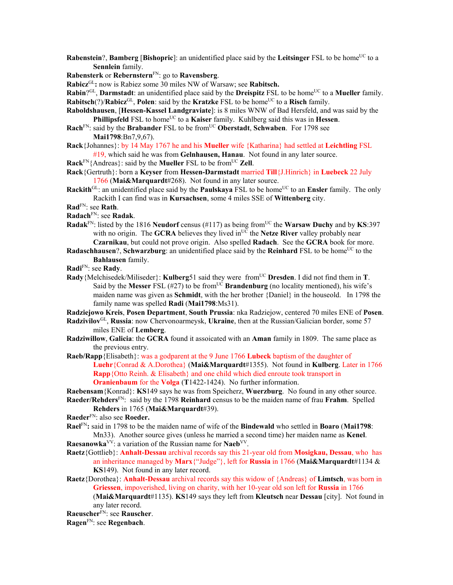**Rabenstein**?, **Bamberg** [Bishopric]: an unidentified place said by the Leitsinger FSL to be home<sup>UC</sup> to a **Sennlein** family.

**Rabensterk** or **Rebernstern**FN: go to **Ravensberg**.

**Rabicz**GL**:** now is Rabiez some 30 miles NW of Warsaw; see **Rabitsch.**

**Rabin**?<sup>GL</sup>, **Darmstadt**: an unidentified place said by the **Dreispitz** FSL to be home<sup>UC</sup> to a **Mueller** family. **Rabitsch**(?)/**Rabicz**<sup>GL</sup>, **Polen**: said by the **Kratzke** FSL to be home<sup>UC</sup> to a **Risch** family.

**Raboldshausen**, [**Hessen-Kassel Landgraviate**]: is 8 miles WNW of Bad Hersfeld, and was said by the **Phillipsfeld** FSL to home<sup>UC</sup> to a **Kaiser** family. Kuhlberg said this was in **Hessen**.

- Rach<sup>FN</sup>: said by the **Brabander** FSL to be from<sup>UC</sup> Oberstadt, Schwaben. For 1798 see **Mai1798**:Bn7,9,67).
- **Rack**{Johannes}: by 14 May 1767 he and his **Mueller** wife {Katharina} had settled at **Leichtling** FSL #19, which said he was from **Gelnhausen, Hanau**. Not found in any later source.
- $\textbf{Rack}^{\text{FN}}\{\text{Andreas}\}\$ : said by the **Mueller** FSL to be from<sup>UC</sup> **Zell**.
- **Rack**{Gertruth}: born a **Keyser** from **Hessen-Darmstadt** married **Till**{J.Hinrich} in **Luebeck** 22 July 1766 (**Mai&Marquardt**#268). Not found in any later source.
- **Rackith**<sup>GL</sup>: an unidentified place said by the **Paulskaya** FSL to be home<sup>UC</sup> to an **Ensler** family. The only Rackith I can find was in **Kursachsen**, some 4 miles SSE of **Wittenberg** city.
- **Rad**FN: see **Rath**.

**Radach**FN: see **Radak**.

- **Radak**<sup>FN</sup>: listed by the 1816 **Neudorf** census (#117) as being from<sup>UC</sup> the **Warsaw Duchy** and by **KS**:397 with no origin. The **GCRA** believes they lived in<sup>UC</sup> the **Netze River** valley probably near **Czarnikau**, but could not prove origin. Also spelled **Radach**. See the **GCRA** book for more.
- **Radaschhausen**?, **Schwarzburg**: an unidentified place said by the **Reinhard** FSL to be home<sup>UC</sup> to the **Bahlausen** family.
- **Radi**FN: see **Rady**.
- **Rady**{Melchisedek/Miliseder}: **Kulberg**51 said they were from<sup>UC</sup> Dresden. I did not find them in **T**. Said by the **Messer** FSL (#27) to be from<sup>UC</sup> **Brandenburg** (no locality mentioned), his wife's maiden name was given as **Schmidt**, with the her brother {Daniel} in the houseold. In 1798 the family name was spelled **Radi** (**Mai1798**:Ms31).

**Radziejowo Kreis**, **Posen Department**, **South Prussia**: nka Radziejow, centered 70 miles ENE of **Posen**.

- **Radzivilov**GL, **Russia**: now Chervonoarmeysk, **Ukraine**, then at the Russian/Galician border, some 57 miles ENE of **Lemberg**.
- **Radziwillow**, **Galicia**: the **GCRA** found it assoicated with an **Aman** family in 1809. The same place as the previous entry.
- **Raeb/Rapp**{Elisabeth}: was a godparent at the 9 June 1766 **Lubeck** baptism of the daughter of **Luehr**{Conrad & A.Dorothea} (**Mai&Marquardt**#1355). Not found in **Kulberg**. Later in 1766 **Rapp**{Otto Reinh. & Elisabeth} and one child which died enroute took transport in **Oranienbaum** for the **Volga** (**T**1422-1424). No further information.

**Raebensam**{Konrad}: **KS**149 says he was from Speicherz, **Wuerzburg**. No found in any other source. **Raeder/Rehders**FN: said by the 1798 **Reinhard** census to be the maiden name of frau **Frahm**. Spelled

## **Rehders** in 1765 (**Mai&Marquardt**#39).

**Raeder**FN: also see **Roeder.**

**Rael**FN**:** said in 1798 to be the maiden name of wife of the **Bindewald** who settled in **Boaro** (**Mai1798**: Mn33). Another source gives (unless he married a second time) her maiden name as **Kenel**.

**Raesanowka**VV: a variation of the Russian name for **Naeb**VV.

- **Raetz**{Gottlieb}: **Anhalt-Dessau** archival records say this 21-year old from **Mosigkau, Dessau**, who has an inheritance managed by **Marx**{"Judge"}, left for **Russia** in 1766 (**Mai&Marquardt**#1134 & **KS**149). Not found in any later record.
- **Raetz**{Dorothea}: **Anhalt-Dessau** archival records say this widow of {Andreas} of **Limtsch**, was born in **Griessen**, impoverished, living on charity, with her 10-year old son left for **Russia** in 1766 (**Mai&Marquardt**#1135). **KS**149 says they left from **Kleutsch** near **Dessau** [city]. Not found in any later record.

**Raeuscher**FN: see **Rauscher**.

**Ragen**FN: see **Regenbach**.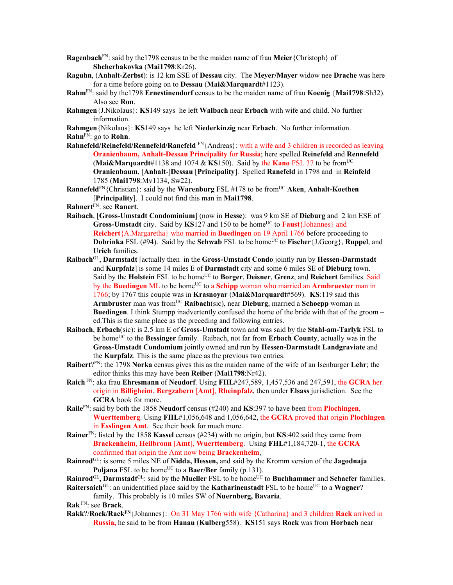**Ragenbach**FN: said by the1798 census to be the maiden name of frau **Meier**{Christoph} of **Shcherbakovka** (**Mai1798**:Kr26).

- **Raguhn**, (**Anhalt-Zerbst**): is 12 km SSE of **Dessau** city. The **Meyer/Mayer** widow nee **Drache** was here for a time before going on to **Dessau** (**Mai&Marquardt**#1123).
- **Rahm**FN: said by the1798 **Ernestinendorf** census to be the maiden name of frau **Koenig** {**Mai1798**:Sh32). Also see **Ron**.
- **Rahmgen**{J.Nikolaus}: **KS**149 says he left **Walbach** near **Erbach** with wife and child. No further information.

**Rahmgen**{Nikolaus}: **KS**149 says he left **Niederkinzig** near **Erbach**. No further information. **Rahn**FN: go to **Rohn**.

**Rahnefeld/Reinefeld/Rennefeld/Ranefeld** FN{Andreas}: with a wife and 3 children is recorded as leaving **Oranienbaum, Anhalt-Dessau Principality** for **Russia**; here spelled **Reinefeld** and **Rennefeld** (**Mai&Marquardt**#1138 and 1074 & **KS**150). Said by the **Kano** FSL 37 to be fromUC **Oranienbaum**, [**Anhalt**-]**Dessau** [**Principality**]. Spelled **Ranefeld** in 1798 and in **Reinfeld** 1785 (**Mai1798**:Mv1134, Sw22).

**Rannefeld**FN{Christian}: said by the **Warenburg** FSL #178 to be fromUC **Aken**, **Anhalt-Koethen** [**Principality**]. I could not find this man in **Mai1798**.

- **Rahnert**FN: see **Ranert**.
- **Raibach**, [**Gross-Umstadt Condominium**] (now in **Hesse**): was 9 km SE of **Dieburg** and 2 km ESE of **Gross-Umstadt** city. Said by **KS**127 and 150 to be home<sup>UC</sup> to **Faust**{Johannes} and **Reichert**{A.Margaretha} who married in **Buedingen** on 19 April 1766 before proceeding to **Dobrinka** FSL (#94). Said by the **Schwab** FSL to be home<sup>UC</sup> to **Fischer**{J.Georg}, **Ruppel**, and **Urich** families.
- **Raibach**GL, **Darmstadt** [actually then in the **Gross-Umstadt Condo** jointly run by **Hessen-Darmstadt** and **Kurpfalz**] is some 14 miles E of **Darmstadt** city and some 6 miles SE of **Dieburg** town. Said by the Holstein FSL to be home<sup>UC</sup> to Borger, Deisner, Grenz, and Reichert families. Said by the **Buedingen** ML to be home<sup>UC</sup> to a **Schipp** woman who married an **Armbruester** man in 1766; by 1767 this couple was in **Krasnoyar** (**Mai&Marquardt**#569). **KS**:119 said this **Armbruster** man was fromUC **Raibach**(sic), near **Dieburg**, married a **Schoepp** woman in **Buedingen**. I think Stumpp inadvertently confused the home of the bride with that of the groom – ed.This is the same place as the preceding and following entries.
- **Raibach**, **Erbach**(sic): is 2.5 km E of **Gross-Umstadt** town and was said by the **Stahl-am-Tarlyk** FSL to be homeUC to the **Bessinger** family. Raibach, not far from **Erbach County**, actually was in the **Gross-Umstadt Condomium** jointly owned and run by **Hessen-Darmstadt Landgraviate** and the **Kurpfalz**. This is the same place as the previous two entries.
- **Raibert**?FN: the 1798 **Norka** census gives this as the maiden name of the wife of an Isenburger **Lehr**; the editor thinks this may have been **Reiber** (**Mai1798**:Nr42).
- **Raich** FN: aka frau **Ehresmann** of **Neudorf**. Using **FHL**#247,589, 1,457,536 and 247,591, the **GCRA** her origin in **Billigheim**, **Bergzabern** [**Amt**], **Rheinpfalz**, then under **Elsass** jurisdiction. See the **GCRA** book for more.
- **Raile**FN: said by both the 1858 **Neudorf** census (#240) and **KS**:397 to have been from **Plochingen**, **Wuerttemberg**. Using **FHL**#1,056,648 and 1,056,642, the **GCRA** proved that origin **Plochingen** in **Esslingen Amt**. See their book for much more.
- **Rainer**FN: listed by the 1858 **Kassel** census (#234) with no origin, but **KS**:402 said they came from **Brackenheim**, **Heilbronn** [**Amt**], **Wuerttemberg**. Using **FHL**#1,184,720-1, the **GCRA** confirmed that origin the Amt now being **Brackenheim**,
- **Rainrod**GL: is some 5 miles NE of **Nidda, Hessen,** and said by the Kromm version of the **Jagodnaja Poljana** FSL to be home<sup>UC</sup> to a **Baer/Ber** family (p.131).

**Rainrod**<sup>GL</sup>, Darmstadt<sup>GL</sup>: said by the Mueller FSL to be home<sup>UC</sup> to Buchhammer and Schaefer families.

- **Raitersaich**<sup>GL</sup>: an unidentified place said by the **Katharinenstadt** FSL to be home<sup>UC</sup> to a **Wagner**? family. This probably is 10 miles SW of **Nuernberg, Bavaria**.
- **Rak** FN: see **Brack**.
- **Rakk**?/**Rock/RackFN**{Johannes}: On 31 May 1766 with wife {Catharina} and 3 children **Rack** arrived in **Russia,** he said to be from **Hanau** (**Kulberg**558). **KS**151 says **Rock** was from **Horbach** near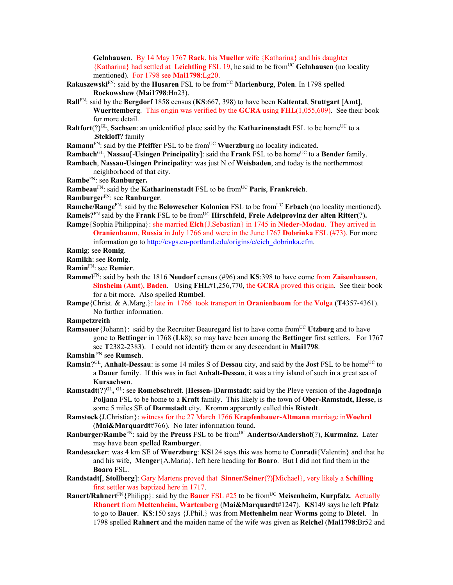**Gelnhausen**. By 14 May 1767 **Rack**, his **Mueller** wife {Katharina} and his daughter {Katharina} had settled at **Leichtling** FSL 19, he said to be fromUC **Gelnhausen** (no locality mentioned). For 1798 see **Mai1798**:Lg20.

- **Rakuszewski**FN: said by the **Husaren** FSL to be fromUC **Marienburg**, **Polen**. In 1798 spelled **Rockowshew** (**Mai1798**:Hn23).
- **Rall**FN: said by the **Bergdorf** 1858 census (**KS**:667, 398) to have been **Kaltental**, **Stuttgart** [**Amt**], **Wuerttemberg**. This origin was verified by the **GCRA** using **FHL**(1,055,609). See their book for more detail.
- **Raltfort**(?)<sup>GL</sup>, **Sachsen**: an unidentified place said by the **Katharinenstadt** FSL to be home<sup>UC</sup> to a .**Stekloff**? family
- **Ramann**<sup>FN</sup>: said by the **Pfeiffer** FSL to be from<sup>UC</sup> **Wuerzburg** no locality indicated.
- **Rambach**<sup>GL</sup>, **Nassau**[-**Usingen Principality**]: said the **Frank** FSL to be home<sup>UC</sup> to a **Bender** family.
- **Rambach**, **Nassau-Usingen Principality**: was just N of **Weisbaden**, and today is the northernmost neighborhood of that city.
- **Rambe**FN: see **Ranburger.**
- **Rambeau**FN: said by the **Katharinenstadt** FSL to be fromUC **Paris**, **Frankreich**.
- **Ramburger**FN: see **Ranburger**.
- **Ramche/Range<sup>FN</sup>: said by the <b>Belowescher Kolonien** FSL to be from<sup>UC</sup> **Erbach** (no locality mentioned). **Rameis?**<sup>FN</sup> said by the **Frank** FSL to be from<sup>UC</sup> **Hirschfeld**, **Freie Adelprovinz der alten Ritter**(?).
- **Ramge**{Sophia Philippina}: she married **Eich**{J.Sebastian} in 1745 in **Nieder-Modau**. They arrived in **Oranienbaum**, **Russia** in July 1766 and were in the June 1767 **Dobrinka** FSL (#73). For more information go to http://cvgs.cu-portland.edu/origins/e/eich\_dobrinka.cfm.
- **Ramig**: see **Romig**.
- **Ramikh**: see **Romig**.
- **Ramin**FN: see **Remier**.
- **Rammel**FN: said by both the 1816 **Neudorf** census (#96) and **KS**:398 to have come from **Zaisenhausen**, **Sinsheim** (**Amt**), **Baden**. Using **FHL**#1,256,770, the **GCRA** proved this origin. See their book for a bit more. Also spelled **Rumbel**.
- **Rampe**{Christ. & A.Marg.}: late in 1766 took transport in **Oranienbaum** for the **Volga** (**T**4357-4361). No further information.

**Rampetzreith**

- **Ramsauer** {Johann}: said by the Recruiter Beauregard list to have come from<sup>UC</sup> Utzburg and to have gone to **Bettinger** in 1768 (**Lk**8); so may have been among the **Bettinger** first settlers. For 1767 see **T**2382-2383). I could not identify them or any descendant in **Mai1798**.
- **Ramshin** FN see **Rumsch**.
- **Ramsin**?<sup>GL</sup>, **Anhalt-Dessau**: is some 14 miles S of **Dessau** city, and said by the **Jost** FSL to be home<sup>UC</sup> to a **Dauer** family. If this was in fact **Anhalt-Dessau**, it was a tiny island of such in a great sea of **Kursachsen**.
- **Ramstadt**(?)GL**,** GL: see **Romebschreit**. [**Hessen-**]**Darmstadt**: said by the Pleve version of the **Jagodnaja Poljana** FSL to be home to a **Kraft** family. This likely is the town of **Ober-Ramstadt, Hesse**, is some 5 miles SE of **Darmstadt** city. Kromm apparently called this **Ristedt**.
- **Ramstock**{J.Christian}: witness for the 27 March 1766 **Krapfenbauer-Altmann** marriage in**Woehrd** (**Mai&Marquardt**#766). No later information found.
- **Ranburger/Rambe<sup>FN</sup>: said by the Preuss** FSL to be from<sup>UC</sup> Andertso/Andershof(?), **Kurmainz.** Later may have been spelled **Ramburger**.
- **Randesacker**: was 4 km SE of **Wuerzburg**: **KS**124 says this was home to **Conradi**{Valentin} and that he and his wife, **Menger**{A.Maria}, left here heading for **Boaro**. But I did not find them in the **Boaro** FSL.
- **Randstadt**[, **Stollberg**]: Gary Martens proved that **Sinner/Seiner**(?)[Michael}, very likely a **Schilling** first settler was baptized here in 1717.
- **Ranert/Rahnert**<sup>FN</sup>{Philipp}: said by the **Bauer** FSL #25 to be from<sup>UC</sup> Meisenheim, Kurpfalz. Actually **Rhanert** from **Mettenheim, Wartenberg** (**Mai&Marquardt**#1247). **KS**149 says he left **Pfalz**  to go to **Bauer**. **KS**:150 says {J.Phil.} was from **Mettenheim** near **Worms** going to **Dietel**. In 1798 spelled **Rahnert** and the maiden name of the wife was given as **Reichel** (**Mai1798**:Br52 and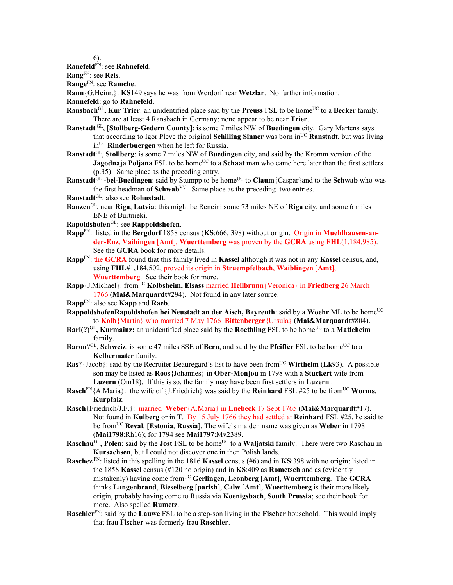6).

**Ranefeld**FN: see **Rahnefeld**.

**Rang**FN: see **Reis**.

**Range**FN: see **Ramche**.

**Rann**{G.Heinr.}: **KS**149 says he was from Werdorf near **Wetzlar**. No further information.

**Rannefeld**: go to **Rahnefeld**.

- **Ransbach**<sup>GL</sup>, **Kur Trier**: an unidentified place said by the **Preuss** FSL to be home<sup>UC</sup> to a **Becker** family. There are at least 4 Ransbach in Germany; none appear to be near **Trier**.
- **Ranstadt** GL, [**Stollberg**-**Gedern County**]: is some 7 miles NW of **Buedingen** city. Gary Martens says that according to Igor Pleve the original **Schilling Sinner** was born inUC **Ranstadt**, but was living inUC **Rinderbuergen** when he left for Russia.
- **Ranstadt**GL, **Stollberg**: is some 7 miles NW of **Buedingen** city, and said by the Kromm version of the **Jagodnaja Poljana** FSL to be home<sup>UC</sup> to a **Schaat** man who came here later than the first settlers (p.35). Same place as the preceding entry.
- Ranstadt<sup>GL</sup> -bei-Buedingen: said by Stumpp to be home<sup>UC</sup> to **Claum** {Caspar} and to the **Schwab** who was the first headman of **Schwab**VV. Same place as the preceding two entries.
- **Ranstadt**GL: also see **Rohnstadt**.
- **Ranzen**GL, near **Riga**, **Latvia**: this might be Rencini some 73 miles NE of **Riga** city, and some 6 miles ENE of Burtnieki.
- **Rapoldshofen**GL: see **Rappoldshofen**.
- **Rapp**FN: listed in the **Bergdorf** 1858 census (**KS**:666, 398) without origin. Origin in **Muehlhausen-ander-Enz**, **Vaihingen** [**Amt**], **Wuerttemberg** was proven by the **GCRA** using **FHL**(1,184,985). See the **GCRA** book for more details.
- **Rapp**FN: the **GCRA** found that this family lived in **Kassel** although it was not in any **Kassel** census, and, using **FHL**#1,184,502, proved its origin in **Struempfelbach**, **Waiblingen** [**Amt**], **Wuerttemberg**. See their book for more.
- **Rapp**{J.Michael}: fromUC **Kolbsheim, Elsass** married **Heilbrunn**{Veronica} in **Friedberg** 26 March 1766 (**Mai&Marquardt**#294). Not found in any later source.
- **Rapp**FN: also see **Kapp** and **Raeb**.
- **RappoldshofenRapoldshofen bei Neustadt an der Aisch, Bayreuth:** said by a Woehr ML to be home<sup>UC</sup> to **Kolb**{Martin} who married 7 May 1766 **Bittenberger**{Ursula} (**Mai&Marquardt**#804).
- **Rari(?)**<sup>GL</sup>, **Kurmainz:** an unidentified place said by the **Roethling** FSL to be home<sup>UC</sup> to a **Matleheim** family.
- **Raron**?<sup>GL</sup>, **Schweiz**: is some 47 miles SSE of **Bern**, and said by the **Pfeiffer** FSL to be home<sup>UC</sup> to a **Kelbermater** family.
- **Ras**?{Jacob}: said by the Recruiter Beauregard's list to have been from<sup>UC</sup> Wirtheim (Lk93). A possible son may be listed as **Roos**{Johannes} in **Ober-Monjou** in 1798 with a **Stuckert** wife from **Luzern** (Om18). If this is so, the family may have been first settlers in **Luzern** .
- **Rasch**<sup>FN</sup>{A.Maria}: the wife of {J.Friedrich} was said by the **Reinhard** FSL #25 to be from<sup>UC</sup> **Worms**, **Kurpfalz**.
- **Rasch**{Friedrich/J.F.}: married **Weber**{A.Maria} in **Luebeck** 17 Sept 1765 (**Mai&Marquardt**#17). Not found in **Kulberg** or in **T**. By 15 July 1766 they had settled at **Reinhard** FSL #25, he said to be fromUC **Reval**, [**Estonia**, **Russia**]. The wife's maiden name was given as **Weber** in 1798 (**Mai1798**:Rh16); for 1794 see **Mai1797**:Mv2389.
- **Raschau<sup>GL</sup>, Polen**: said by the **Jost** FSL to be home<sup>UC</sup> to a **Waljatski** family. There were two Raschau in **Kursachsen**, but I could not discover one in then Polish lands.
- **Raschez** FN: listed in this spelling in the 1816 **Kassel** census (#6) and in **KS**:398 with no origin; listed in the 1858 **Kassel** census (#120 no origin) and in **KS**:409 as **Rometsch** and as (evidently mistakenly) having come fromUC **Gerlingen**, **Leonberg** [**Amt**], **Wuerttemberg**. The **GCRA** thinks **Langenbrand**, **Bieselberg** [**parish**], **Calw** [**Amt**], **Wuerttemberg** is their more likely origin, probably having come to Russia via **Koenigsbach**, **South Prussia**; see their book for more. Also spelled **Rumetz**.
- **Raschler**FN: said by the **Lauwe** FSL to be a step-son living in the **Fischer** household. This would imply that frau **Fischer** was formerly frau **Raschler**.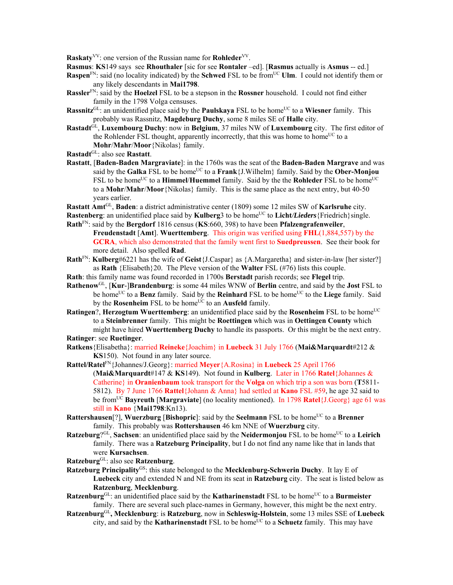**Raskaty**<sup>VV</sup>: one version of the Russian name for **Rohleder**<sup>VV</sup>.

**Rasmus**: **KS**149 says see **Rhouthaler** [sic for see **Rontaler** –ed]. [**Rasmus** actually is **Asmus** -- ed.]

- **Raspen**<sup>FN</sup>: said (no locality indicated) by the **Schwed** FSL to be from<sup>UC</sup> **Ulm**. I could not identify them or any likely descendants in **Mai1798**.
- **Rassler**FN: said by the **Hoelzel** FSL to be a stepson in the **Rossner** household. I could not find either family in the 1798 Volga censuses.
- **Rassnitz**<sup>GL</sup>: an unidentified place said by the **Paulskaya** FSL to be home<sup>UC</sup> to a **Wiesner** family. This probably was Rassnitz, **Magdeburg Duchy**, some 8 miles SE of **Halle** city.
- **Rastadt**GL, **Luxembourg Duchy**: now in **Belgium**, 37 miles NW of **Luxembourg** city. The first editor of the Rohlender FSL thought, apparently incorrectly, that this was home to home<sup>UC</sup> to a **Mohr**/**Mahr**/**Moor**{Nikolas} family.
- **Rastadt**GL: also see **Rastatt**.
- **Rastatt**, [**Baden-Baden Margraviate**]: in the 1760s was the seat of the **Baden-Baden Margrave** and was said by the **Galka** FSL to be home<sup>UC</sup> to a **Frank** $\{J$ . Wilhelm $\}$  family. Said by the **Ober-Monjou** FSL to be home<sup>UC</sup> to a **Himmel/Huemmel** family. Said by the the **Rohleder** FSL to be home<sup>UC</sup> to a **Mohr**/**Mahr**/**Moor**{Nikolas} family. This is the same place as the next entry, but 40-50 years earlier.

**Rastatt Amt**GL, **Baden**: a district administrative center (1809) some 12 miles SW of **Karlsruhe** city.

- **Rastenberg**: an unidentified place said by **Kulberg**3 to be home<sup>UC</sup> to **Licht/Lieders** {Friedrich}single. **Rath**FN: said by the **Bergdorf** 1816 census (**KS**:660, 398) to have been **Pfalzengrafenweiler**,
- **Freudenstadt** [**Amt**]. **Wuerttemberg**. This origin was verified using **FHL**(1,884,557) by the **GCRA**, which also demonstrated that the family went first to **Suedpreussen**. See their book for more detail.Also spelled **Rad**.
- **Rath**FN: **Kulberg**#6221 has the wife of **Geist**{J.Caspar} as {A.Margaretha} and sister-in-law [her sister?] as **Rath** {Elisabeth}20. The Pleve version of the **Walter** FSL (#76) lists this couple.
- **Rath**: this family name was found recorded in 1700s **Berstadt** parish records; see **Flegel** trip.
- **Rathenow**GL, [**Kur**-]**Brandenburg**: is some 44 miles WNW of **Berlin** centre, and said by the **Jost** FSL to be home<sup>UC</sup> to a **Benz** family. Said by the **Reinhard** FSL to be home<sup>UC</sup> to the **Liege** family. Said by the **Rosenheim** FSL to be home<sup>UC</sup> to an **Ausfeld** family.
- **Ratingen**?, **Herzogtum Wuerttemberg**: an unidentified place said by the **Rosenheim** FSL to be home<sup>UC</sup> to a **Steinbrenner** family. This might be **Roettingen** which was in **Oettingen County** which might have hired **Wuerttemberg Duchy** to handle its passports. Or this might be the next entry. **Ratinger**: see **Ruetinger**.
- **Ratkens**{Elisabetha}: married **Reineke**{Joachim} in **Luebeck** 31 July 1766 (**Mai&Marquardt**#212 & **KS**150). Not found in any later source.
- **Rattel/Ratel**FN{Johannes/J.Georg}: married **Meyer**{A.Rosina} in **Luebeck** 25 April 1766 (**Mai&Marquardt**#147 & **KS**149). Not found in **Kulberg**. Later in 1766 **Ratel**{Johannes & Catherine} in **Oranienbaum** took transport for the **Volga** on which trip a son was born (**T**5811- 5812). By 7 June 1766 **Rattel**{Johann & Anna} had settled at **Kano** FSL #59, he age 32 said to be fromUC **Bayreuth** [**Margraviate**] (no locality mentioned). In 1798 **Ratel**{J.Georg} age 61 was still in **Kano** {**Mai1798**:Kn13).
- **Rattershausen**[?], **Wuerzburg** [Bishopric]: said by the **Seelmann** FSL to be home<sup>UC</sup> to a **Brenner** family. This probably was **Rottershausen** 46 km NNE of **Wuerzburg** city.
- **Ratzeburg**?<sup>GL</sup>, **Sachsen**: an unidentified place said by the **Neidermonjou** FSL to be home<sup>UC</sup> to a Leirich family. There was a **Ratzeburg Principality**, but I do not find any name like that in lands that were **Kursachsen**.

**Ratzeburg**GL: also see **Ratzenburg**.

- **Ratzeburg Principality**GS: this state belonged to the **Mecklenburg-Schwerin Duchy**. It lay E of **Luebeck** city and extended N and NE from its seat in **Ratzeburg** city. The seat is listed below as **Ratzenburg**, **Mecklenburg**.
- Ratzenburg<sup>GL</sup>: an unidentified place said by the **Katharinenstadt** FSL to be home<sup>UC</sup> to a **Burmeister** family. There are several such place-names in Germany, however, this might be the next entry.
- **Ratzenburg**GL**, Mecklenburg**: is **Ratzeburg**, now in **Schleswig-Holstein**, some 13 miles SSE of **Luebeck** city, and said by the **Katharinenstadt** FSL to be home<sup>UC</sup> to a **Schuetz** family. This may have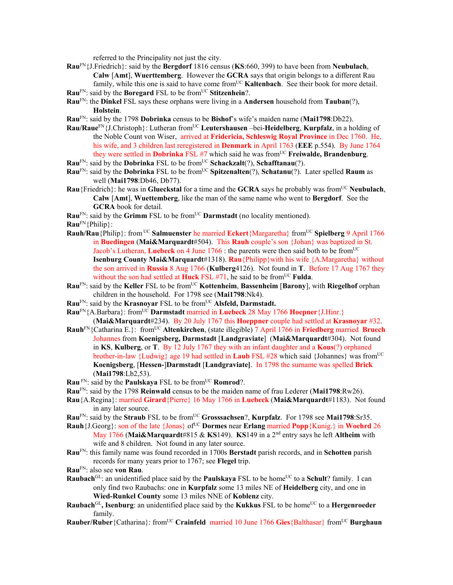referred to the Principality not just the city.

- **Rau**FN{J.Friedrich}: said by the **Bergdorf** 1816 census (**KS**:660, 399) to have been from **Neubulach**, **Calw** [**Amt**], **Wuerttemberg**. However the **GCRA** says that origin belongs to a different Rau family, while this one is said to have come from<sup>UC</sup> **Kaltenbach**. See their book for more detail.
- **Rau<sup>FN</sup>: said by the Boregard FSL to be from<sup>UC</sup> Stitzenhein?.**
- **Rau**FN: the **Dinkel** FSL says these orphans were living in a **Andersen** household from **Tauban**(?), **Holstein**.
- **Rau**FN: said by the 1798 **Dobrinka** census to be **Bishof**'s wife's maiden name (**Mai1798**:Db22).
- **Rau/Raue**FN{J.Christoph}: Lutheran fromUC **Leutershausen** –bei-**Heidelberg**, **Kurpfalz**, in a holding of the Noble Count von Wiser, arrived at **Fridericia, Schleswig Royal Province** in Dec 1760. He, his wife, and 3 children last reregistered in **Denmark** in April 1763 (**EEE** p.554). By June 1764 they were settled in **Dobrinka** FSL #7 which said he was from<sup>UC</sup> **Freiwalde, Brandenburg**.
- **Rau<sup>FN</sup>: said by the Dobrinka FSL to be from<sup>UC</sup> Schackzalt(?), Schafftanau(?).**
- **Rau<sup>FN</sup>:** said by the **Dobrinka** FSL to be from<sup>UC</sup> **Spitzenalten**(?), **Schatanu**(?). Later spelled **Raum** as well (**Mai1798**:Db46, Db77).
- **Rau**{Friedrich}: he was in **Glueckstal** for a time and the **GCRA** says he probably was fromUC **Neubulach**, **Calw** [**Amt**], **Wuettemberg**, like the man of the same name who went to **Bergdorf**. See the **GCRA** book for detail.

Rau<sup>FN</sup>: said by the Grimm FSL to be from<sup>UC</sup> Darmstadt (no locality mentioned).

**Rau**FN{Philip}:

- **Rauh/Rau**{Philip}: from UC **Salmuenster** he married **Eckert**{Margaretha} fromUC **Spielberg** 9 April 1766 in **Buedingen** (**Mai&Marquardt**#504). This **Rauh** couple's son {Johan} was baptized in St. Jacob's Lutheran, **Luebeck** on 4 June 1766 : the parents were then said both to be from<sup>UC</sup> **Isenburg County Mai&Marquardt**#1318). **Rau**{Philipp}with his wife {A.Margaretha} without the son arrived in **Russia** 8 Aug 1766 (**Kulberg**4126). Not found in **T**. Before 17 Aug 1767 they without the son had settled at **Huck** FSL #71, he said to be from<sup>UC</sup> Fulda.
- **Rau**FN: said by the **Keller** FSL to be fromUC **Kottenheim**, **Bassenheim** [**Barony**], with **Riegelhof** orphan children in the household. For 1798 see (**Mai1798**:Nk4).
- **Rau<sup>FN</sup>: said by the Krasnovar FSL to be from<sup>UC</sup> Alsfeld, Darmstadt.**
- **Rau<sup>FN</sup>**{A.Barbara}: from<sup>UC</sup> **Darmstadt** married in **Luebeck** 28 May 1766 **Hoepner**{J.Hinr.} (**Mai&Marquardt**#234). By 20 July 1767 this **Hoeppner** couple had settled at **Krasnoyar** #32.
- **Rauh**FN{Catharina E.}: fromUC **Altenkirchen**, (state illegible) 7 April 1766 in **Friedberg** married **Bruech** Johannes from **Koenigsberg, Darmstadt** [**Landgraviate**] (**Mai&Marquardt**#304). Not found in **KS**, **Kulberg**, or **T**. By 12 July 1767 they with an infant daughter and a **Kous**(?) orphaned brother-in-law {Ludwig} age 19 had settled in **Laub** FSL #28 which said {Johannes} was from<sup>UC</sup> **Koenigsberg**, [**Hessen-**]**Darmstadt** [**Landgraviate]**. In 1798 the surname was spelled **Brick** (**Mai1798**:Lb2,53).
- **Rau** FN: said by the **Paulskaya** FSL to be from<sup>UC</sup> **Romrod**?.
- **Rau**FN: said by the 1798 **Reinwald** census to be the maiden name of frau Lederer (**Mai1798**:Rw26).
- **Rau**{A.Regina}: married **Girard**{Pierre} 16 May 1766 in **Luebeck** (**Mai&Marquardt**#1183). Not found in any later source.
- Rau<sup>FN</sup>: said by the **Straub** FSL to be from<sup>UC</sup> Grosssachsen?, **Kurpfalz**. For 1798 see Mai1798:Sr35.
- **Rauh**{J.Georg}: son of the late {Jonas} of<sup>UC</sup> Dormes near **Erlang** married **Popp**{Kunig.} in **Woehrd** 26 May 1766 (**Mai&Marquardt**#815 & **KS**149). **KS**149 in a 2nd entry says he left **Altheim** with wife and 8 children. Not found in any later source.
- **Rau**FN: this family name was found recorded in 1700s **Berstadt** parish records, and in **Schotten** parish records for many years prior to 1767; see **Flegel** trip.
- **Rau**FN: also see **von Rau**.
- **Raubach**<sup>GL</sup>: an unidentified place said by the **Paulskaya** FSL to be home<sup>UC</sup> to a **Schult**? family. I can only find two Raubachs: one in **Kurpfalz** some 13 miles NE of **Heidelberg** city, and one in **Wied-Runkel County** some 13 miles NNE of **Koblenz** city.
- **Raubach**<sup>GL</sup>, Isenburg: an unidentified place said by the **Kukkus** FSL to be home<sup>UC</sup> to a **Hergenroeder** family.
- **Rauber/Ruber**{Catharina}: from<sup>UC</sup> **Crainfeld** married 10 June 1766 **Gies**{Balthasar} from<sup>UC</sup> **Burghaun**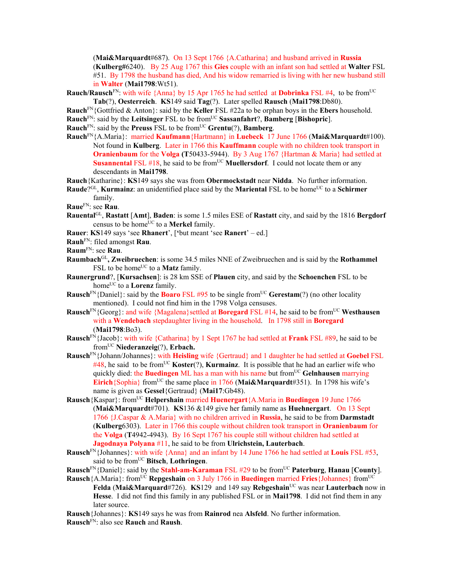(**Mai&Marquardt**#687). On 13 Sept 1766 {A.Catharina} and husband arrived in **Russia**  (**Kulberg#**6240). By 25 Aug 1767 this **Gies** couple with an infant son had settled at **Walter** FSL #51. By 1798 the husband has died, And his widow remarried is living with her new husband still in **Walter** (**Mai1798**:Wt51).

**Rauch/Rausch**<sup>FN</sup>: with wife {Anna} by 15 Apr 1765 he had settled at **Dobrinka** FSL #4, to be from<sup>UC</sup> **Tab**(?), **Oesterreich**. **KS**149 said **Tag**(?). Later spelled **Rausch** (**Mai1798**:Db80).

**Rauch**FN{Gottfried & Anton}: said by the **Keller** FSL #22a to be orphan boys in the **Ebers** household.

**Rauch**FN: said by the **Leitsinger** FSL to be fromUC **Sassanfahrt**?, **Bamberg** [**Bishopric**].

**Rauch**<sup>FN</sup>: said by the **Preuss** FSL to be from<sup>UC</sup> **Grentu**(?), **Bamberg**.

**Rauch**FN{A.Maria}: married **Kaufmann**{Hartmann} in **Luebeck** 17 June 1766 (**Mai&Marquardt**#100). Not found in **Kulberg**. Later in 1766 this **Kauffmann** couple with no children took transport in **Oranienbaum** for the **Volga (T**50433-5944). By 3 Aug 1767 {Hartman & Maria} had settled at **Susannental** FSL #18, he said to be from<sup>UC</sup> **Muellersdorf**. I could not locate them or any descendants in **Mai1798**.

**Rauch**{Katharine}: **KS**149 says she was from **Obermockstadt** near **Nidda**. No further information.

- **Raude**?<sup>GL</sup>, **Kurmainz**: an unidentified place said by the **Mariental** FSL to be home<sup>UC</sup> to a **Schirmer** family.
- **Raue**FN: see **Rau**.
- **Rauental**GL, **Rastatt** [**Amt**], **Baden**: is some 1.5 miles ESE of **Rastatt** city, and said by the 1816 **Bergdorf** census to be home<sup>UC</sup> to a **Merkel** family.
- **Rauer**: **KS**149 says 'see **Rhanert**', [**'**but meant 'see **Ranert**' ed.]
- **Rauh**FN: filed amongst **Rau**.
- **Raum**FN: see **Rau**.
- **Raumbach**GL**, Zweibruechen**: is some 34.5 miles NNE of Zweibruechen and is said by the **Rothammel** FSL to be home<sup>UC</sup> to a **Matz** family.
- **Raunergrund**?, [**Kursachsen**]: is 28 km SSE of **Plauen** city, and said by the **Schoenchen** FSL to be home<sup>UC</sup> to a **Lorenz** family.
- **Rausch**<sup>FN</sup>{Daniel}: said by the **Boaro** FSL #95 to be single from<sup>UC</sup> Gerestam(?) (no other locality mentioned). I could not find him in the 1798 Volga censuses.
- **Rausch**<sup>FN</sup>{Georg}: and wife {Magalena} settled at **Boregard** FSL #14, he said to be from<sup>UC</sup> Westhausen with a **Wendebach** stepdaughter living in the household. In 1798 still in **Boregard** (**Mai1798**:Bo3).
- **Rausch**FN{Jacob}: with wife {Catharina} by 1 Sept 1767 he had settled at **Frank** FSL #89, he said to be fromUC **Niederanzeig**(?), **Erbach.**
- **Rausch**FN{Johann/Johannes}: with **Heisling** wife {Gertraud} and 1 daughter he had settled at **Goebel** FSL  $\#48$ , he said to be from<sup>UC</sup> **Koster**(?), **Kurmainz**. It is possible that he had an earlier wife who quickly died: the **Buedingen** ML has a man with his name but from<sup>UC</sup> Gelnhausen marrying **Eirich**{Sophia} from<sup>UC</sup> the same place in 1766 (Mai&Marquardt#351). In 1798 his wife's name is given as **Gessel**{Gertraud} (**Mai17**:Gb48).
- **Rausch**{Kaspar}: fromUC **Helpershain** married **Huenergart**{A.Maria in **Buedingen** 19 June 1766 (**Mai&Marquardt**#701). **KS**136 &149 give her family name as **Huehnergart**. On 13 Sept 1766 {J.Caspar & A.Maria} with no children arrived in **Russia**, he said to be from **Darmstadt**  (**Kulberg**6303). Later in 1766 this couple without children took transport in **Oranienbaum** for the **Volga** (**T**4942-4943). By 16 Sept 1767 his couple still without children had settled at **Jagodnaya Polyana** #11, he said to be from **Ulrichstein, Lauterbach**.
- **Rausch**FN{Johannes}: with wife {Anna} and an infant by 14 June 1766 he had settled at **Louis** FSL #53, said to be fromUC **Bitsch**, **Lothringen**.
- **Rausch**FN{Daniel}: said by the **Stahl-am-Karaman** FSL #29 to be fromUC **Paterburg**, **Hanau** [**County**].
- **Rausch**{A.Maria}: from<sup>UC</sup> **Repgeshain** on 3 July 1766 in **Buedingen** married **Fries**{Johannes} from<sup>UC</sup> **Felda** (**Mai&Marquard**#726). **KS**129 and 149 say **Rebgeshain**UC was near **Lauterbach** now in **Hesse**. I did not find this family in any published FSL or in **Mai1798**. I did not find them in any later source.
- **Rausch**{Johannes}: **KS**149 says he was from **Rainrod** nea **Alsfeld**. No further information. **Rausch**FN: also see **Rauch** and **Raush**.